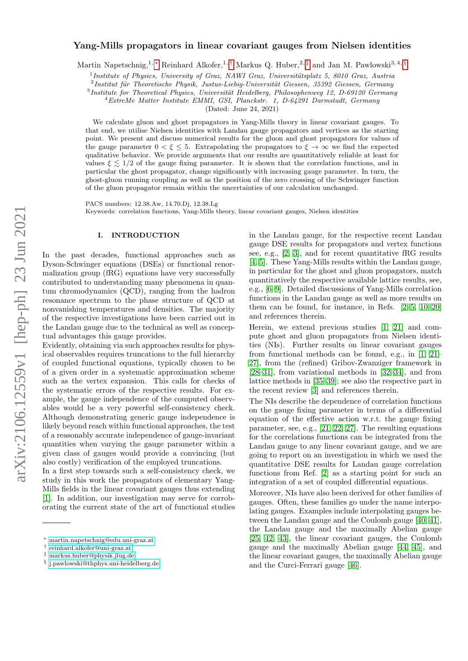# arXiv:2106.12559v1 [hep-ph] 23 Jun 2021 arXiv:2106.12559v1 [hep-ph] 23 Jun 2021

# Yang-Mills propagators in linear covariant gauges from Nielsen identities

Martin Napetschnig,<sup>1, \*</sup> Reinhard Alkofer,<sup>1,[†](#page-0-1)</sup> Markus Q. Huber,<sup>2,[‡](#page-0-2)</sup> and Jan M. Pawlowski<sup>3,4, [§](#page-0-3)</sup>

<sup>1</sup> Institute of Physics, University of Graz, NAWI Graz, Universitätsplatz 5, 8010 Graz, Austria

 $^{2}$ Institut für Theoretische Physik, Justus-Liebig-Universität Giessen, 35392 Giessen, Germany

<sup>3</sup> Institute for Theoretical Physics, Universität Heidelberg, Philosophenweg 12, D-69120 Germany

<sup>4</sup>ExtreMe Matter Institute EMMI, GSI, Planckstr. 1, D-64291 Darmstadt, Germany

(Dated: June 24, 2021)

We calculate gluon and ghost propagators in Yang-Mills theory in linear covariant gauges. To that end, we utilise Nielsen identities with Landau gauge propagators and vertices as the starting point. We present and discuss numerical results for the gluon and ghost propagators for values of the gauge parameter  $0 < \xi \leq 5$ . Extrapolating the propagators to  $\xi \to \infty$  we find the expected qualitative behavior. We provide arguments that our results are quantitatively reliable at least for values  $\xi \leq 1/2$  of the gauge fixing parameter. It is shown that the correlation functions, and in particular the ghost propagator, change significantly with increasing gauge parameter. In turn, the ghost-gluon running coupling as well as the position of the zero crossing of the Schwinger function of the gluon propagator remain within the uncertainties of our calculation unchanged.

PACS numbers: 12.38.Aw, 14.70.Dj, 12.38.Lg Keywords: correlation functions, Yang-Mills theory, linear covariant gauges, Nielsen identities

### I. INTRODUCTION

In the past decades, functional approaches such as Dyson-Schwinger equations (DSEs) or functional renormalization group (fRG) equations have very successfully contributed to understanding many phenomena in quantum chromodynamics (QCD), ranging from the hadron resonance spectrum to the phase structure of QCD at nonvanishing temperatures and densities. The majority of the respective investigations have been carried out in the Landau gauge due to the technical as well as conceptual advantages this gauge provides.

Evidently, obtaining via such approaches results for physical observables requires truncations to the full hierarchy of coupled functional equations, typically chosen to be of a given order in a systematic approximation scheme such as the vertex expansion. This calls for checks of the systematic errors of the respective results. For example, the gauge independence of the computed observables would be a very powerful self-consistency check. Although demonstrating generic gauge independence is likely beyond reach within functional approaches, the test of a reasonably accurate independence of gauge-invariant quantities when varying the gauge parameter within a given class of gauges would provide a convincing (but also costly) verification of the employed truncations.

In a first step towards such a self-consistency check, we study in this work the propagators of elementary Yang-Mills fields in the linear covariant gauges thus extending [\[1\]](#page-11-0). In addition, our investigation may serve for corroborating the current state of the art of functional studies

in the Landau gauge, for the respective recent Landau gauge DSE results for propagators and vertex functions see, e.g., [\[2,](#page-11-1) [3\]](#page-11-2), and for recent quantitative fRG results [\[4,](#page-11-3) [5\]](#page-11-4). These Yang-Mills results within the Landau gauge, in particular for the ghost and gluon propagators, match quantitatively the respective available lattice results, see, e.g., [\[6](#page-11-5)[–9\]](#page-11-6). Detailed discussions of Yang-Mills correlation functions in the Landau gauge as well as more results on them can be found, for instance, in Refs. [\[2](#page-11-1)[–5,](#page-11-4) [10](#page-11-7)[–20\]](#page-11-8) and references therein.

Herein, we extend previous studies [\[1,](#page-11-0) [21\]](#page-11-9) and compute ghost and gluon propagators from Nielsen identities (NIs). Further results on linear covariant gauges from functional methods can be found, e.g., in [\[1,](#page-11-0) [21–](#page-11-9) [27\]](#page-11-10), from the (refined) Gribov-Zwanziger framework in [\[28–](#page-11-11)[31\]](#page-12-0), from variational methods in [\[32](#page-12-1)[–34\]](#page-12-2), and from lattice methods in [\[35–](#page-12-3)[39\]](#page-12-4); see also the respective part in the recent review [\[3\]](#page-11-2) and references therein.

The NIs describe the dependence of correlation functions on the gauge fixing parameter in terms of a differential equation of the effective action w.r.t. the gauge fixing parameter, see, e.g., [\[21,](#page-11-9) [22,](#page-11-12) [27\]](#page-11-10). The resulting equations for the correlations functions can be integrated from the Landau gauge to any linear covariant gauge, and we are going to report on an investigation in which we used the quantitative DSE results for Landau gauge correlation functions from Ref. [\[2\]](#page-11-1) as a starting point for such an integration of a set of coupled differential equations.

Moreover, NIs have also been derived for other families of gauges. Often, these families go under the name interpolating gauges. Examples include interpolating gauges between the Landau gauge and the Coulomb gauge [\[40,](#page-12-5) [41\]](#page-12-6), the Landau gauge and the maximally Abelian gauge [\[25,](#page-11-13) [42,](#page-12-7) [43\]](#page-12-8), the linear covariant gauges, the Coulomb gauge and the maximally Abelian gauge [\[44,](#page-12-9) [45\]](#page-12-10), and the linear covariant gauges, the maximally Abelian gauge and the Curci-Ferrari gauge [\[46\]](#page-12-11).

<span id="page-0-0"></span><sup>∗</sup> [martin.napetschnig@edu.uni-graz.at](mailto:martin.napetschnig@edu.uni-graz.at)

<span id="page-0-1"></span><sup>†</sup> [reinhard.alkofer@uni-graz.at](mailto:reinhard.alkofer@uni-graz.at)

<span id="page-0-2"></span><sup>‡</sup> [markus.huber@physik.jlug.de](mailto:markus.huber@physik.jlug.de)

<span id="page-0-3"></span><sup>§</sup> [j.pawlowski@thphys.uni-heidelberg.de](mailto:j.pawlowski@thphys.uni-heidelberg.de)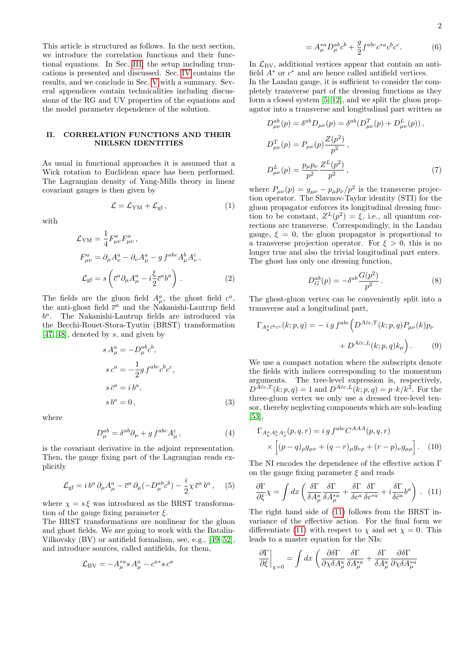This article is structured as follows. In the next section, we introduce the correlation functions and their functional equations. In Sec. [III,](#page-2-0) the setup including truncations is presented and discussed. Sec. [IV](#page-4-0) contains the results, and we conclude in Sec. [V](#page-8-0) with a summary. Several appendices contain technicalities including discussions of the RG and UV properties of the equations and the model parameter dependence of the solution.

# II. CORRELATION FUNCTIONS AND THEIR NIELSEN IDENTITIES

As usual in functional approaches it is assumed that a Wick rotation to Euclidean space has been performed. The Lagrangian density of Yang-Mills theory in linear covariant gauges is then given by

$$
\mathcal{L} = \mathcal{L}_{\text{YM}} + \mathcal{L}_{\text{gf}}\,,\tag{1}
$$

with

$$
\mathcal{L}_{\text{YM}} = \frac{1}{4} F_{\mu\nu}^a F_{\mu\nu}^a ,
$$
\n
$$
F_{\mu\nu}^a = \partial_\mu A_\nu^a - \partial_\nu A_\mu^a - g f^{abc} A_\mu^b A_\nu^c ,
$$
\n
$$
\mathcal{L}_{\text{gf}} = s \left( \overline{c}^a \partial_\mu A_\mu^a - i \frac{\xi}{2} \overline{c}^a b^a \right) .
$$
\n(2)

The fields are the gluon field  $A^a_\mu$ , the ghost field  $c^a$ , the anti-ghost field  $\bar{c}^a$  and the Nakanishi-Lautrup field b a . The Nakanishi-Lautrup fields are introduced via the Becchi-Rouet-Stora-Tyutin (BRST) transformation [\[47,](#page-12-12) [48\]](#page-12-13), denoted by s, and given by

$$
s A^a_\mu = -D^{ab}_\mu c^b,
$$
  
\n
$$
s c^a = -\frac{1}{2} g f^{abc} c^b c^c,
$$
  
\n
$$
s \bar{c}^a = i b^a,
$$
  
\n
$$
s b^a = 0,
$$
\n(3)

where

$$
D_{\mu}^{ab} = \delta^{ab}\partial_{\mu} + g f^{abc}A_{\mu}^{c}, \qquad (4)
$$

is the covariant derivative in the adjoint representation. Then, the gauge fixing part of the Lagrangian reads explicitly

$$
\mathcal{L}_{\rm gf} = i \, b^a \, \partial_\mu A^a_\mu - \overline{c}^a \, \partial_\mu (-D^{ab}_\mu c^b) - \frac{i}{2} \chi \, \overline{c}^a \, b^a \,, \quad (5)
$$

where  $\chi = s \xi$  was introduced as the BRST transformation of the gauge fixing parameter  $\xi$ .

The BRST transformations are nonlinear for the gluon and ghost fields. We are going to work with the Batalin-Vilkovsky (BV) or antifield formalism, see, e.g., [\[49–](#page-12-14)[52\]](#page-12-15), and introduce sources, called antifields, for them,

$$
\mathcal{L}_{\rm BV} = -A_{\mu}^{*a} s A_{\mu}^a - c^{a*} s c^a
$$

$$
=A_{\mu}^{*a}D_{\mu}^{ab}c^{b} + \frac{g}{2}f^{abc}c^{*a}c^{b}c^{c}.
$$
 (6)

In  $\mathcal{L}_{\rm BV}$ , additional vertices appear that contain an antifield  $A^*$  or  $c^*$  and are hence called antifield vertices.

In the Landau gauge, it is sufficient to consider the completely transverse part of the dressing functions as they form a closed system [\[5,](#page-11-4) [12\]](#page-11-14), and we split the gluon propagator into a transverse and longitudinal part written as

$$
D_{\mu\nu}^{ab}(p) = \delta^{ab} D_{\mu\nu}(p) = \delta^{ab} (D_{\mu\nu}^{T}(p) + D_{\mu\nu}^{L}(p)),
$$
  
\n
$$
D_{\mu\nu}^{T}(p) = P_{\mu\nu}(p) \frac{Z(p^{2})}{p^{2}},
$$
  
\n
$$
D_{\mu\nu}^{L}(p) = \frac{p_{\mu}p_{\nu}}{p^{2}} \frac{Z^{L}(p^{2})}{p^{2}},
$$
\n(7)

where  $P_{\mu\nu}(p) = g_{\mu\nu} - p_{\mu}p_{\nu}/p^2$  is the transverse projection operator. The Slavnov-Taylor identity (STI) for the gluon propagator enforces its longitudinal dressing function to be constant,  $Z^{L}(p^{2}) = \xi$ , i.e., all quantum corrections are transverse. Correspondingly, in the Landau gauge,  $\xi = 0$ , the gluon propagator is proportional to a transverse projection operator. For  $\xi > 0$ , this is no longer true and also the trivial longitudinal part enters. The ghost has only one dressing function,

$$
D_G^{ab}(p) = -\delta^{ab} \frac{G(p^2)}{p^2}.
$$
 (8)

The ghost-gluon vertex can be conveniently split into a transverse and a longitudinal part,

$$
\Gamma_{A^a_\mu \bar{c}^b c^c}(k; p, q) = -ig f^{abc} \Big( D^{A\bar{c}c, T}(k; p, q) P_{\mu\nu}(k) p_\nu + D^{A\bar{c}c, L}(k; p, q) k_\mu \Big).
$$
 (9)

We use a compact notation where the subscripts denote the fields with indices corresponding to the momentum arguments. The tree-level expression is, respectively,  $D^{A\bar{c}c,T}(k;p,q) = 1$  and  $D^{A\bar{c}c,L}(k;p,q) = p \cdot k/k^2$ . For the three-gluon vertex we only use a dressed tree-level tensor, thereby neglecting components which are sub-leading [\[53\]](#page-12-16),

$$
\Gamma_{A^a_\mu A^b_\nu A^c_\rho}(p,q,r) = ig f^{abc} C^{AAA}(p,q,r)
$$
  
 
$$
\times \left[ (p-q)_{\rho} g_{\mu\nu} + (q-r)_{\mu} g_{\nu\rho} + (r-p)_{\nu} g_{\mu\rho} \right].
$$
 (10)

The NI encodes the dependence of the effective action Γ on the gauge fixing parameter  $\xi$  and reads

<span id="page-1-0"></span>
$$
\frac{\partial \Gamma}{\partial \xi} \chi = \int dx \left( \frac{\delta \Gamma}{\delta A^a_\mu} \frac{\delta \Gamma}{\delta A^{*a}_\mu} + \frac{\delta \Gamma}{\delta c^a} \frac{\delta \Gamma}{\delta c^{*a}} + i \frac{\delta \Gamma}{\delta \bar{c}^a} b^a \right) . \tag{11}
$$

The right hand side of [\(11\)](#page-1-0) follows from the BRST invariance of the effective action. For the final form we differentiate [\(11\)](#page-1-0) with respect to  $\chi$  and set  $\chi = 0$ . This leads to a master equation for the NIs:

$$
\frac{\partial \Gamma}{\partial \xi}\bigg|_{\chi=0} = \int dx \left( \frac{\partial \delta \Gamma}{\partial \chi \delta A^a_\mu} \frac{\delta \Gamma}{\delta A^{*a}_\mu} + \frac{\delta \Gamma}{\delta A^a_\mu} \frac{\partial \delta \Gamma}{\partial \chi \delta A^{*a}_\mu} \right)
$$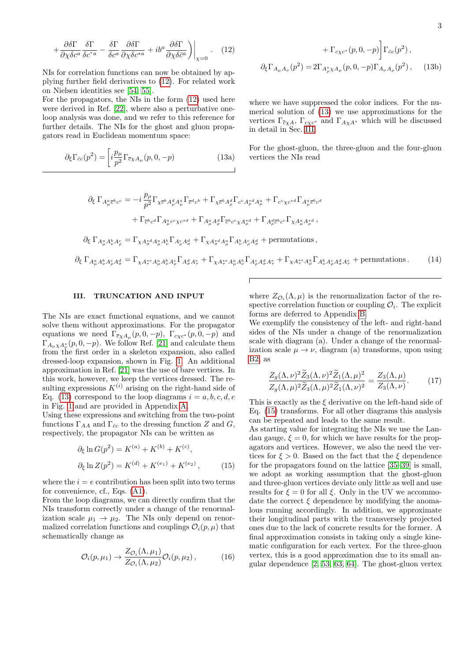$$
+\frac{\partial \delta \Gamma}{\partial \chi \delta c^a} \frac{\delta \Gamma}{\delta c^{*a}} - \frac{\delta \Gamma}{\delta c^a} \frac{\partial \delta \Gamma}{\partial \chi \delta c^{*a}} + ib^a \frac{\partial \delta \Gamma}{\partial \chi \delta \bar{c}^a} \bigg) \bigg|_{\chi=0} . \quad (12)
$$

NIs for correlation functions can now be obtained by applying further field derivatives to [\(12\)](#page-2-1). For related work on Nielsen identities see [\[54,](#page-12-17) [55\]](#page-12-18).

For the propagators, the NIs in the form [\(12\)](#page-2-1) used here were derived in Ref. [\[22\]](#page-11-12), where also a perturbative oneloop analysis was done, and we refer to this reference for further details. The NIs for the ghost and gluon propagators read in Euclidean momentum space:

$$
\partial_{\xi} \Gamma_{\bar{c}c}(p^2) = \left[ i \frac{p_{\mu}}{p^2} \Gamma_{\bar{c} \chi A_{\mu}}(p, 0, -p) \right]
$$
(13a)

<span id="page-2-1"></span>+ 
$$
\Gamma_{c\chi c^*}(p, 0, -p) \Gamma_{\bar{c}c}(p^2)
$$
,  
\n
$$
\partial_{\xi} \Gamma_{A_{\mu}A_{\nu}}(p^2) = 2\Gamma_{A_{\rho}^*X A_{\mu}}(p, 0, -p) \Gamma_{A_{\nu}A_{\rho}}(p^2), \quad (13b)
$$

L.

where we have suppressed the color indices. For the numerical solution of [\(13\)](#page-2-2) we use approximations for the vertices  $\Gamma_{\bar c \chi A}$ ,  $\Gamma_{c \chi c^*}$  and  $\Gamma_{A \chi A^*}$  which will be discussed in detail in Sec. [III.](#page-2-0)

<span id="page-2-2"></span>For the ghost-gluon, the three-gluon and the four-gluon vertices the NIs read

$$
\partial_{\xi} \Gamma_{A_{\mu}^{a}\bar{c}^{b}c^{c}} = -i \frac{p_{\rho}}{p^{2}} \Gamma_{\chi\bar{c}^{b}A^{d}_{\rho}A^{a}_{\mu}} \Gamma_{\bar{c}^{d}c^{b}} + \Gamma_{\chi\bar{c}^{b}A^{d}_{\rho}} \Gamma_{c^{c}A^{*d}_{\rho}A^{a}_{\mu}} + \Gamma_{c^{c}\chi c^{*d}} \Gamma_{A_{\mu}^{a}\bar{c}^{b}c^{d}}
$$
\n
$$
+ \Gamma_{\bar{c}^{b}c^{d}} \Gamma_{A_{\mu}^{a}c^{c}\chi c^{*d}} + \Gamma_{A_{\mu}^{a}A^{d}_{\rho}} \Gamma_{\bar{c}^{b}c^{c}\chi A^{*d}_{\rho}} + \Gamma_{A_{\rho}^{d}\bar{c}^{b}c^{c}} \Gamma_{\chi A_{\mu}^{a}A^{*d}_{\rho}},
$$
\n
$$
\partial_{\xi} \Gamma_{A_{\mu}^{a}A_{\nu}^{b}A_{\rho}^{c}} = \Gamma_{\chi A_{\sigma}^{*d}A_{\mu}^{a}A_{\nu}^{b}} \Gamma_{A_{\rho}^{c}A_{\sigma}^{d}} + \Gamma_{\chi A_{\sigma}^{*d}A_{\mu}^{a}} \Gamma_{A_{\nu}^{b}A_{\rho}^{c}A_{\sigma}^{d}} + \text{permutations},
$$
\n
$$
\partial_{\xi} \Gamma_{A_{\mu}^{a}A_{\nu}^{b}A_{\rho}^{c}A_{\sigma}^{d}} = \Gamma_{\chi A_{\tau}^{*c}A_{\mu}^{a}A_{\nu}^{b}A_{\rho}^{c}} \Gamma_{A_{\sigma}^{d}A_{\tau}^{e}} + \Gamma_{\chi A_{\tau}^{*c}A_{\mu}^{a}A_{\nu}^{b}} \Gamma_{A_{\rho}^{c}A_{\sigma}^{d}A_{\tau}^{e}} + \Gamma_{\chi A_{\tau}^{*c}A_{\mu}^{a}} \Gamma_{A_{\nu}^{b}A_{\rho}^{c}A_{\sigma}^{d}A_{\tau}^{e}} + \text{permutations}.
$$
\n
$$
(14)
$$

# <span id="page-2-0"></span>III. TRUNCATION AND INPUT

The NIs are exact functional equations, and we cannot solve them without approximations. For the propagator equations we need  $\Gamma_{\bar{c}_X A_\mu}(p, 0, -p)$ ,  $\Gamma_{c_X c^*}(p, 0, -p)$  and  $\Gamma_{A_{\mu}\chi A_{\nu}^{*}}(p,0,-p)$ . We follow Ref. [\[21\]](#page-11-9) and calculate them from the first order in a skeleton expansion, also called dressed-loop expansion, shown in Fig. [1.](#page-3-0) An additional approximation in Ref. [\[21\]](#page-11-9) was the use of bare vertices. In this work, however, we keep the vertices dressed. The resulting expressions  $K^{(i)}$  arising on the right-hand side of Eq. [\(13\)](#page-2-2) correspond to the loop diagrams  $i = a, b, c, d, e$ in Fig. [1](#page-3-0) and are provided in Appendix [A.](#page-8-1)

Using these expressions and switching from the two-point functions  $\Gamma_{AA}$  and  $\Gamma_{\bar{c}c}$  to the dressing function Z and G, respectively, the propagator NIs can be written as

$$
\partial_{\xi} \ln G(p^2) = K^{(a)} + K^{(b)} + K^{(c)},
$$
  
\n
$$
\partial_{\xi} \ln Z(p^2) = K^{(d)} + K^{(e_1)} + K^{(e_2)},
$$
\n(15)

where the  $i = e$  contribution has been split into two terms for convenience, cf., Eqs. [\(A1\)](#page-8-2).

From the loop diagrams, we can directly confirm that the NIs transform correctly under a change of the renormalization scale  $\mu_1 \rightarrow \mu_2$ . The NIs only depend on renormalized correlation functions and couplings  $\mathcal{O}_i(p,\mu)$  that schematically change as

$$
\mathcal{O}_i(p,\mu_1) \to \frac{Z_{\mathcal{O}_i}(\Lambda,\mu_1)}{Z_{\mathcal{O}_i}(\Lambda,\mu_2)} \mathcal{O}_i(p,\mu_2),\tag{16}
$$

where  $Z_{\mathcal{O}_i}(\Lambda,\mu)$  is the renormalization factor of the respective correlation function or coupling  $\mathcal{O}_i$ . The explicit forms are deferred to Appendix [B.](#page-9-0)

We exemplify the consistency of the left- and right-hand sides of the NIs under a change of the renormalization scale with diagram (a). Under a change of the renormalization scale  $\mu \to \nu$ , diagram (a) transforms, upon using [B2,](#page-9-1) as

$$
\frac{Z_g(\Lambda,\nu)^2 \widetilde{Z}_3(\Lambda,\nu)^2 \widetilde{Z}_1(\Lambda,\mu)^2}{Z_g(\Lambda,\mu)^2 \widetilde{Z}_3(\Lambda,\mu)^2 \widetilde{Z}_1(\Lambda,\nu)^2} = \frac{Z_3(\Lambda,\mu)}{Z_3(\Lambda,\nu)}.\tag{17}
$$

This is exactly as the  $\xi$  derivative on the left-hand side of Eq. [\(15\)](#page-2-3) transforms. For all other diagrams this analysis can be repeated and leads to the same result.

<span id="page-2-4"></span><span id="page-2-3"></span>As starting value for integrating the NIs we use the Landau gauge,  $\xi = 0$ , for which we have results for the propagators and vertices. However, we also the need the vertices for  $\xi > 0$ . Based on the fact that the  $\xi$  dependence for the propagators found on the lattice [\[35–](#page-12-3)[39\]](#page-12-4) is small, we adopt as working assumption that the ghost-gluon and three-gluon vertices deviate only little as well and use results for  $\xi = 0$  for all  $\xi$ . Only in the UV we accommodate the correct  $\xi$  dependence by modifying the anomalous running accordingly. In addition, we approximate their longitudinal parts with the transversely projected ones due to the lack of concrete results for the former. A final approximation consists in taking only a single kinematic configuration for each vertex. For the three-gluon vertex, this is a good approximation due to its small angular dependence [\[2,](#page-11-1) [53,](#page-12-16) [63,](#page-12-19) [64\]](#page-12-20). The ghost-gluon vertex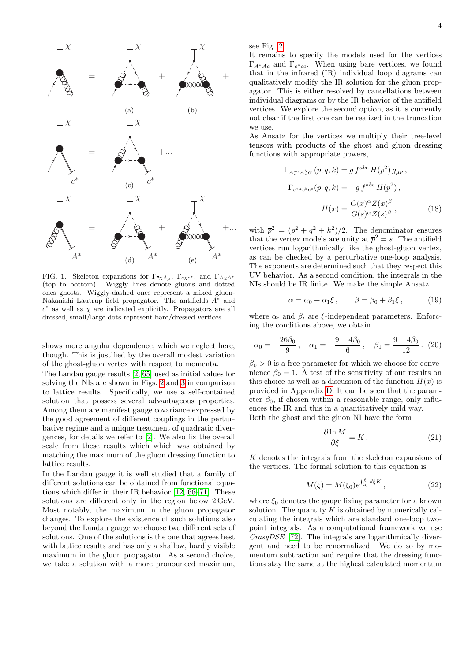

<span id="page-3-0"></span>FIG. 1. Skeleton expansions for  $\Gamma_{\bar{c}\chi A_\mu}$ ,  $\Gamma_{c\chi c^*}$ , and  $\Gamma_{A\chi A^*}$ (top to bottom). Wiggly lines denote gluons and dotted ones ghosts. Wiggly-dashed ones represent a mixed gluon-Nakanishi Lautrup field propagator. The antifields  $A^*$  and  $c^*$  as well as  $\chi$  are indicated explicitly. Propagators are all dressed, small/large dots represent bare/dressed vertices.

shows more angular dependence, which we neglect here, though. This is justified by the overall modest variation of the ghost-gluon vertex with respect to momenta.

The Landau gauge results [\[2,](#page-11-1) [65\]](#page-13-0) used as initial values for solving the NIs are shown in Figs. [2](#page-4-1) and [3](#page-4-2) in comparison to lattice results. Specifically, we use a self-contained solution that possess several advantageous properties. Among them are manifest gauge covariance expressed by the good agreement of different couplings in the perturbative regime and a unique treatment of quadratic divergences, for details we refer to [\[2\]](#page-11-1). We also fix the overall scale from these results which which was obtained by matching the maximum of the gluon dressing function to lattice results.

In the Landau gauge it is well studied that a family of different solutions can be obtained from functional equations which differ in their IR behavior [\[12,](#page-11-14) [66–](#page-13-1)[71\]](#page-13-2). These solutions are different only in the region below 2 GeV. Most notably, the maximum in the gluon propagator changes. To explore the existence of such solutions also beyond the Landau gauge we choose two different sets of solutions. One of the solutions is the one that agrees best with lattice results and has only a shallow, hardly visible maximum in the gluon propagator. As a second choice, we take a solution with a more pronounced maximum,

see Fig. [2.](#page-4-1)

It remains to specify the models used for the vertices  $\Gamma_{A^*Ac}$  and  $\Gamma_{c^*cc}$ . When using bare vertices, we found that in the infrared (IR) individual loop diagrams can qualitatively modify the IR solution for the gluon propagator. This is either resolved by cancellations between individual diagrams or by the IR behavior of the antifield vertices. We explore the second option, as it is currently not clear if the first one can be realized in the truncation we use.

As Ansatz for the vertices we multiply their tree-level tensors with products of the ghost and gluon dressing functions with appropriate powers,

$$
\Gamma_{A_{\mu}^{*a}A_{\nu}^{b}c^{c}}(p,q,k) = g f^{abc} H(\overline{p}^{2}) g_{\mu\nu},
$$
  

$$
\Gamma_{c^{*a}c^{b}c^{c}}(p,q,k) = -g f^{abc} H(\overline{p}^{2}),
$$
  

$$
H(x) = \frac{G(x)^{\alpha} Z(x)^{\beta}}{G(s)^{\alpha} Z(s)^{\beta}},
$$
 (18)

with  $\bar{p}^2 = (p^2 + q^2 + k^2)/2$ . The denominator ensures that the vertex models are unity at  $\bar{p}^2 = s$ . The antifield vertices run logarithmically like the ghost-gluon vertex, as can be checked by a perturbative one-loop analysis. The exponents are determined such that they respect this UV behavior. As a second condition, the integrals in the NIs should be IR finite. We make the simple Ansatz

$$
\alpha = \alpha_0 + \alpha_1 \xi, \qquad \beta = \beta_0 + \beta_1 \xi, \tag{19}
$$

where  $\alpha_i$  and  $\beta_i$  are  $\xi$ -independent parameters. Enforcing the conditions above, we obtain

$$
\alpha_0 = -\frac{26\beta_0}{9}, \quad \alpha_1 = -\frac{9 - 4\beta_0}{6}, \quad \beta_1 = \frac{9 - 4\beta_0}{12}.
$$
 (20)

 $\beta_0 > 0$  is a free parameter for which we choose for convenience  $\beta_0 = 1$ . A test of the sensitivity of our results on this choice as well as a discussion of the function  $H(x)$  is provided in Appendix [D.](#page-10-0) It can be seen that the parameter  $\beta_0$ , if chosen within a reasonable range, only influences the IR and this in a quantitatively mild way. Both the ghost and the gluon NI have the form

$$
\frac{\partial \ln M}{\partial \xi} = K.
$$
 (21)

 $K$  denotes the integrals from the skeleton expansions of the vertices. The formal solution to this equation is

$$
M(\xi) = M(\xi_0) e^{\int \xi_0 d\xi K}, \qquad (22)
$$

where  $\xi_0$  denotes the gauge fixing parameter for a known solution. The quantity  $K$  is obtained by numerically calculating the integrals which are standard one-loop twopoint integrals. As a computational framework we use CrasyDSE [\[72\]](#page-13-3). The integrals are logarithmically divergent and need to be renormalized. We do so by momentum subtraction and require that the dressing functions stay the same at the highest calculated momentum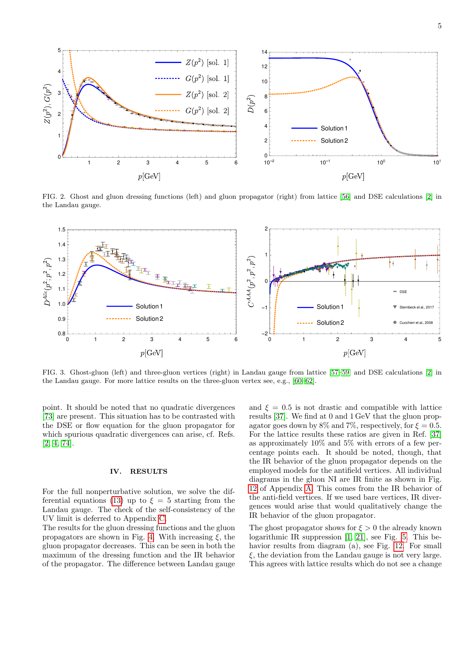

<span id="page-4-1"></span>FIG. 2. Ghost and gluon dressing functions (left) and gluon propagator (right) from lattice [\[56\]](#page-12-21) and DSE calculations [\[2\]](#page-11-1) in the Landau gauge.



<span id="page-4-2"></span>FIG. 3. Ghost-gluon (left) and three-gluon vertices (right) in Landau gauge from lattice [\[57–](#page-12-22)[59\]](#page-12-23) and DSE calculations [\[2\]](#page-11-1) in the Landau gauge. For more lattice results on the three-gluon vertex see, e.g., [\[60–](#page-12-24)[62\]](#page-12-25).

point. It should be noted that no quadratic divergences [\[73\]](#page-13-4) are present. This situation has to be contrasted with the DSE or flow equation for the gluon propagator for which spurious quadratic divergences can arise, cf. Refs. [\[2,](#page-11-1) [4,](#page-11-3) [74\]](#page-13-5).

### <span id="page-4-0"></span>IV. RESULTS

For the full nonperturbative solution, we solve the dif-ferential equations [\(13\)](#page-2-2) up to  $\xi = 5$  starting from the Landau gauge. The check of the self-consistency of the UV limit is deferred to Appendix [C.](#page-9-2)

The results for the gluon dressing functions and the gluon propagators are shown in Fig. [4.](#page-5-0) With increasing  $\xi$ , the gluon propagator decreases. This can be seen in both the maximum of the dressing function and the IR behavior of the propagator. The difference between Landau gauge and  $\xi = 0.5$  is not drastic and compatible with lattice results [\[37\]](#page-12-26). We find at 0 and 1 GeV that the gluon propagator goes down by 8% and 7%, respectively, for  $\xi = 0.5$ . For the lattice results these ratios are given in Ref. [\[37\]](#page-12-26) as approximately 10% and 5% with errors of a few percentage points each. It should be noted, though, that the IR behavior of the gluon propagator depends on the employed models for the antifield vertices. All individual diagrams in the gluon NI are IR finite as shown in Fig. [12](#page-10-1) of Appendix [A.](#page-8-1) This comes from the IR behavior of the anti-field vertices. If we used bare vertices, IR divergences would arise that would qualitatively change the IR behavior of the gluon propagator.

The ghost propagator shows for  $\xi > 0$  the already known logarithmic IR suppression [\[1,](#page-11-0) [21\]](#page-11-9), see Fig. [5.](#page-5-1) This behavior results from diagram (a), see Fig. [12.](#page-10-1) For small  $\xi$ , the deviation from the Landau gauge is not very large. This agrees with lattice results which do not see a change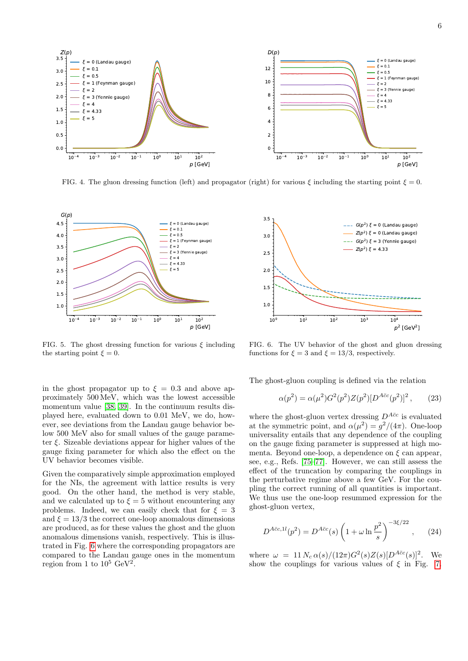

<span id="page-5-0"></span>FIG. 4. The gluon dressing function (left) and propagator (right) for various  $\xi$  including the starting point  $\xi = 0$ .



<span id="page-5-1"></span>FIG. 5. The ghost dressing function for various  $\xi$  including the starting point  $\xi = 0$ .

in the ghost propagator up to  $\xi = 0.3$  and above approximately 500 MeV, which was the lowest accessible momentum value [\[38,](#page-12-27) [39\]](#page-12-4). In the continuum results displayed here, evaluated down to 0.01 MeV, we do, however, see deviations from the Landau gauge behavior below 500 MeV also for small values of the gauge parameter  $\xi$ . Sizeable deviations appear for higher values of the gauge fixing parameter for which also the effect on the UV behavior becomes visible.

Given the comparatively simple approximation employed for the NIs, the agreement with lattice results is very good. On the other hand, the method is very stable, and we calculated up to  $\xi = 5$  without encountering any problems. Indeed, we can easily check that for  $\xi = 3$ and  $\xi = 13/3$  the correct one-loop anomalous dimensions are produced, as for these values the ghost and the gluon anomalous dimensions vanish, respectively. This is illustrated in Fig. [6](#page-5-2) where the corresponding propagators are compared to the Landau gauge ones in the momentum region from 1 to  $10^5 \text{ GeV}^2$ .



<span id="page-5-2"></span>FIG. 6. The UV behavior of the ghost and gluon dressing functions for  $\xi = 3$  and  $\xi = 13/3$ , respectively.

The ghost-gluon coupling is defined via the relation

$$
\alpha(p^2) = \alpha(\mu^2) G^2(p^2) Z(p^2) [D^{A\bar{c}c}(p^2)]^2 ,\qquad (23)
$$

where the ghost-gluon vertex dressing  $D^{A\bar{c}c}$  is evaluated at the symmetric point, and  $\alpha(\mu^2) = g^2/(4\pi)$ . One-loop universality entails that any dependence of the coupling on the gauge fixing parameter is suppressed at high momenta. Beyond one-loop, a dependence on  $\xi$  can appear, see, e.g., Refs. [\[75–](#page-13-6)[77\]](#page-13-7). However, we can still assess the effect of the truncation by comparing the couplings in the perturbative regime above a few GeV. For the coupling the correct running of all quantities is important. We thus use the one-loop resummed expression for the ghost-gluon vertex,

<span id="page-5-3"></span>
$$
D^{A\bar{c}c,1l}(p^2) = D^{A\bar{c}c}(s) \left(1 + \omega \ln \frac{p^2}{s}\right)^{-3\xi/22}, \qquad (24)
$$

where  $\omega = 11 N_c \alpha(s)/(12\pi) G^2(s) Z(s) [D^{A\bar{c}c}(s)]^2$ . We show the couplings for various values of  $\xi$  in Fig. [7.](#page-6-0)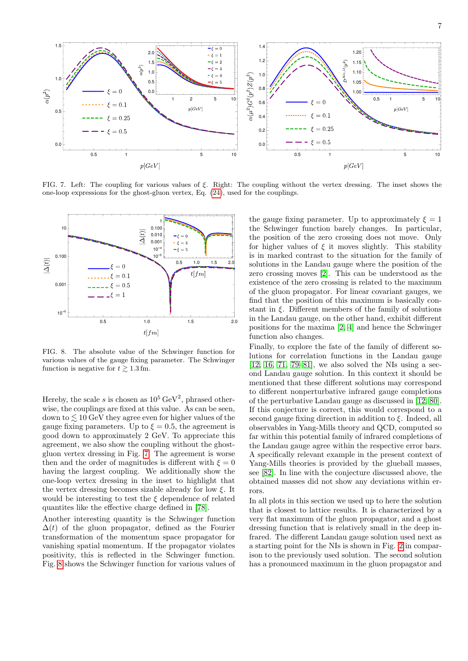

<span id="page-6-0"></span>FIG. 7. Left: The coupling for various values of ξ. Right: The coupling without the vertex dressing. The inset shows the one-loop expressions for the ghost-gluon vertex, Eq. [\(24\)](#page-5-3), used for the couplings.



<span id="page-6-1"></span>FIG. 8. The absolute value of the Schwinger function for various values of the gauge fixing parameter. The Schwinger function is negative for  $t \gtrsim 1.3$  fm.

Hereby, the scale s is chosen as  $10^5 \,\text{GeV}^2$ , phrased otherwise, the couplings are fixed at this value. As can be seen, down to  $\lesssim 10~{\rm GeV}$  they agree even for higher values of the gauge fixing parameters. Up to  $\xi = 0.5$ , the agreement is good down to approximately 2 GeV. To appreciate this agreement, we also show the coupling without the ghostgluon vertex dressing in Fig. [7.](#page-6-0) The agreement is worse then and the order of magnitudes is different with  $\xi = 0$ having the largest coupling. We additionally show the one-loop vertex dressing in the inset to highlight that the vertex dressing becomes sizable already for low  $\xi$ . It would be interesting to test the  $\xi$  dependence of related quantites like the effective charge defined in [\[78\]](#page-13-8).

Another interesting quantity is the Schwinger function  $\Delta(t)$  of the gluon propagator, defined as the Fourier transformation of the momentum space propagator for vanishing spatial momentum. If the propagator violates positivity, this is reflected in the Schwinger function. Fig. [8](#page-6-1) shows the Schwinger function for various values of the gauge fixing parameter. Up to approximately  $\xi = 1$ the Schwinger function barely changes. In particular, the position of the zero crossing does not move. Only for higher values of  $\xi$  it moves slightly. This stability is in marked contrast to the situation for the family of solutions in the Landau gauge where the position of the zero crossing moves [\[2\]](#page-11-1). This can be understood as the existence of the zero crossing is related to the maximum of the gluon propagator. For linear covariant gauges, we find that the position of this maximum is basically constant in  $\xi$ . Different members of the family of solutions in the Landau gauge, on the other hand, exhibit different positions for the maxima [\[2,](#page-11-1) [4\]](#page-11-3) and hence the Schwinger function also changes.

Finally, to explore the fate of the family of different solutions for correlation functions in the Landau gauge [\[12,](#page-11-14) [16,](#page-11-15) [71,](#page-13-2) [79–](#page-13-9)[81\]](#page-13-10), we also solved the NIs using a second Landau gauge solution. In this context it should be mentioned that these different solutions may correspond to different nonperturbative infrared gauge completions of the perturbative Landau gauge as discussed in [\[12,](#page-11-14) [80\]](#page-13-11). If this conjecture is correct, this would correspond to a second gauge fixing direction in addition to  $\xi$ . Indeed, all observables in Yang-Mills theory and QCD, computed so far within this potential family of infrared completions of the Landau gauge agree within the respective error bars. A specifically relevant example in the present context of Yang-Mills theories is provided by the glueball masses, see [\[82\]](#page-13-12). In line with the conjecture discussed above, the obtained masses did not show any deviations within errors.

In all plots in this section we used up to here the solution that is closest to lattice results. It is characterized by a very flat maximum of the gluon propagator, and a ghost dressing function that is relatively small in the deep infrared. The different Landau gauge solution used next as a starting point for the NIs is shown in Fig. [2](#page-4-1) in comparison to the previously used solution. The second solution has a pronounced maximum in the gluon propagator and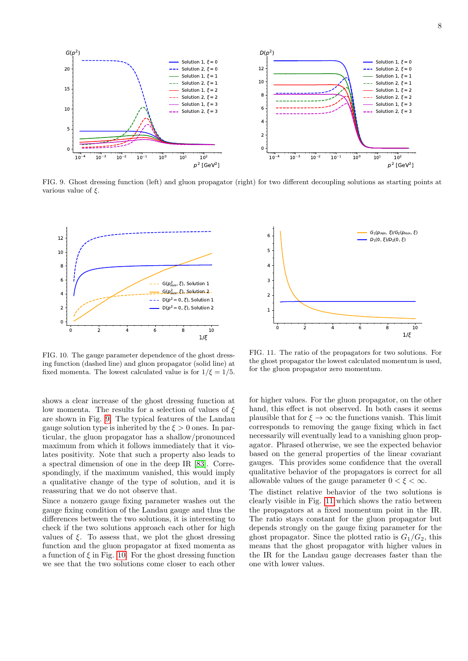



 $D(p^2)$ 

<span id="page-7-0"></span>FIG. 9. Ghost dressing function (left) and gluon propagator (right) for two different decoupling solutions as starting points at various value of  $\xi$ .



 $G(p^2)$ 

<span id="page-7-1"></span>FIG. 10. The gauge parameter dependence of the ghost dressing function (dashed line) and gluon propagator (solid line) at fixed momenta. The lowest calculated value is for  $1/\xi = 1/5$ .

shows a clear increase of the ghost dressing function at low momenta. The results for a selection of values of  $\xi$ are shown in Fig. [9.](#page-7-0) The typical features of the Landau gauge solution type is inherited by the  $\xi > 0$  ones. In particular, the gluon propagator has a shallow/pronounced maximum from which it follows immediately that it violates positivity. Note that such a property also leads to a spectral dimension of one in the deep IR [\[83\]](#page-13-13). Correspondingly, if the maximum vanished, this would imply a qualitative change of the type of solution, and it is reassuring that we do not observe that.

Since a nonzero gauge fixing parameter washes out the gauge fixing condition of the Landau gauge and thus the differences between the two solutions, it is interesting to check if the two solutions approach each other for high values of  $\xi$ . To assess that, we plot the ghost dressing function and the gluon propagator at fixed momenta as a function of  $\xi$  in Fig. [10.](#page-7-1) For the ghost dressing function we see that the two solutions come closer to each other



<span id="page-7-2"></span>FIG. 11. The ratio of the propagators for two solutions. For the ghost propagator the lowest calculated momentum is used, for the gluon propagator zero momentum.

for higher values. For the gluon propagator, on the other hand, this effect is not observed. In both cases it seems plausible that for  $\xi \to \infty$  the functions vanish. This limit corresponds to removing the gauge fixing which in fact necessarily will eventually lead to a vanishing gluon propagator. Phrased otherwise, we see the expected behavior based on the general properties of the linear covariant gauges. This provides some confidence that the overall qualitative behavior of the propagators is correct for all allowable values of the gauge parameter  $0 < \xi < \infty$ .

The distinct relative behavior of the two solutions is clearly visible in Fig. [11](#page-7-2) which shows the ratio between the propagators at a fixed momentum point in the IR. The ratio stays constant for the gluon propagator but depends strongly on the gauge fixing parameter for the ghost propagator. Since the plotted ratio is  $G_1/G_2$ , this means that the ghost propagator with higher values in the IR for the Landau gauge decreases faster than the one with lower values.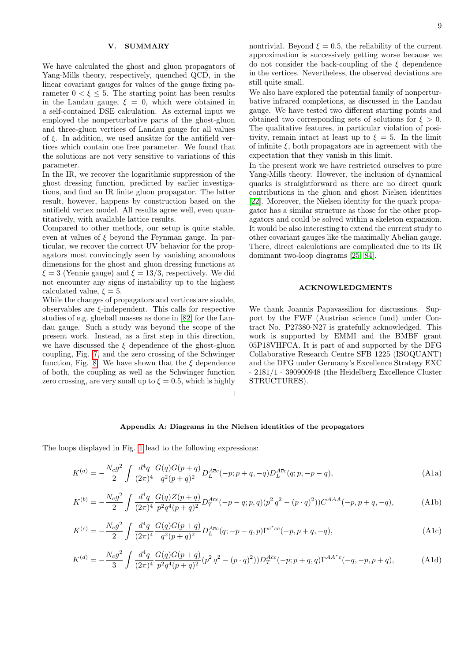### <span id="page-8-0"></span>V. SUMMARY

We have calculated the ghost and gluon propagators of Yang-Mills theory, respectively, quenched QCD, in the linear covariant gauges for values of the gauge fixing parameter  $0 < \xi \leq 5$ . The starting point has been results in the Landau gauge,  $\xi = 0$ , which were obtained in a self-contained DSE calculation. As external input we employed the nonperturbative parts of the ghost-gluon and three-gluon vertices of Landau gauge for all values of  $\xi$ . In addition, we used ansätze for the antifield vertices which contain one free parameter. We found that the solutions are not very sensitive to variations of this parameter.

In the IR, we recover the logarithmic suppression of the ghost dressing function, predicted by earlier investigations, and find an IR finite gluon propagator. The latter result, however, happens by construction based on the antifield vertex model. All results agree well, even quantitatively, with available lattice results.

Compared to other methods, our setup is quite stable, even at values of  $\xi$  beyond the Feynman gauge. In particular, we recover the correct UV behavior for the propagators most convincingly seen by vanishing anomalous dimensions for the ghost and gluon dressing functions at  $\xi = 3$  (Yennie gauge) and  $\xi = 13/3$ , respectively. We did not encounter any signs of instability up to the highest calculated value,  $\xi = 5$ .

While the changes of propagators and vertices are sizable, observables are  $\xi$ -independent. This calls for respective studies of e.g. glueball masses as done in [\[82\]](#page-13-12) for the Landau gauge. Such a study was beyond the scope of the present work. Instead, as a first step in this direction, we have discussed the  $\xi$  dependence of the ghost-gluon coupling, Fig. [7,](#page-6-0) and the zero crossing of the Schwinger function, Fig. [8.](#page-6-1) We have shown that the  $\xi$  dependence of both, the coupling as well as the Schwinger function zero crossing, are very small up to  $\xi = 0.5$ , which is highly nontrivial. Beyond  $\xi = 0.5$ , the reliability of the current approximation is successively getting worse because we do not consider the back-coupling of the  $\xi$  dependence in the vertices. Nevertheless, the observed deviations are still quite small.

We also have explored the potential family of nonperturbative infrared completions, as discussed in the Landau gauge. We have tested two different starting points and obtained two corresponding sets of solutions for  $\xi > 0$ . The qualitative features, in particular violation of positivity, remain intact at least up to  $\xi = 5$ . In the limit of infinite  $\xi$ , both propagators are in agreement with the expectation that they vanish in this limit.

In the present work we have restricted ourselves to pure Yang-Mills theory. However, the inclusion of dynamical quarks is straightforward as there are no direct quark contributions in the gluon and ghost Nielsen identities [\[22\]](#page-11-12). Moreover, the Nielsen identity for the quark propagator has a similar structure as those for the other propagators and could be solved within a skeleton expansion. It would be also interesting to extend the current study to other covariant gauges like the maximally Abelian gauge. There, direct calculations are complicated due to its IR dominant two-loop diagrams [\[25,](#page-11-13) [84\]](#page-13-14).

### ACKNOWLEDGMENTS

<span id="page-8-2"></span>We thank Joannis Papavassiliou for discussions. Support by the FWF (Austrian science fund) under Contract No. P27380-N27 is gratefully acknowledged. This work is supported by EMMI and the BMBF grant 05P18VHFCA. It is part of and supported by the DFG Collaborative Research Centre SFB 1225 (ISOQUANT) and the DFG under Germany's Excellence Strategy EXC - 2181/1 - 390900948 (the Heidelberg Excellence Cluster STRUCTURES).

# <span id="page-8-1"></span>Appendix A: Diagrams in the Nielsen identities of the propagators

The loops displayed in Fig. [1](#page-3-0) lead to the following expressions:

$$
K^{(a)} = -\frac{N_c g^2}{2} \int \frac{d^4q}{(2\pi)^4} \frac{G(q)G(p+q)}{q^2(p+q)^2} D_L^{A\overline{c}c}(-p; p+q, -q) D_L^{A\overline{c}c}(q; p, -p-q), \tag{A1a}
$$

$$
K^{(b)} = -\frac{N_c g^2}{2} \int \frac{d^4q}{(2\pi)^4} \frac{G(q)Z(p+q)}{p^2 q^4 (p+q)^2} D_T^{A\bar{c}c}(-p-q;p,q) (p^2 q^2 - (p \cdot q)^2)) C^{AAA}(-p,p+q,-q), \tag{A1b}
$$

$$
K^{(c)} = -\frac{N_c g^2}{2} \int \frac{d^4q}{(2\pi)^4} \frac{G(q)G(p+q)}{q^2(p+q)^2} D_L^{\text{Acc}}(q; -p-q, p) \Gamma^{c^*cc}(-p, p+q, -q), \tag{A1c}
$$

$$
K^{(d)} = -\frac{N_c g^2}{3} \int \frac{d^4q}{(2\pi)^4} \frac{G(q)G(p+q)}{p^2 q^4 (p+q)^2} (p^2 q^2 - (p \cdot q)^2)) D_T^{A\bar{c}c}(-p; p+q, q) \Gamma^{AA^*c}(-q, -p, p+q), \tag{A1d}
$$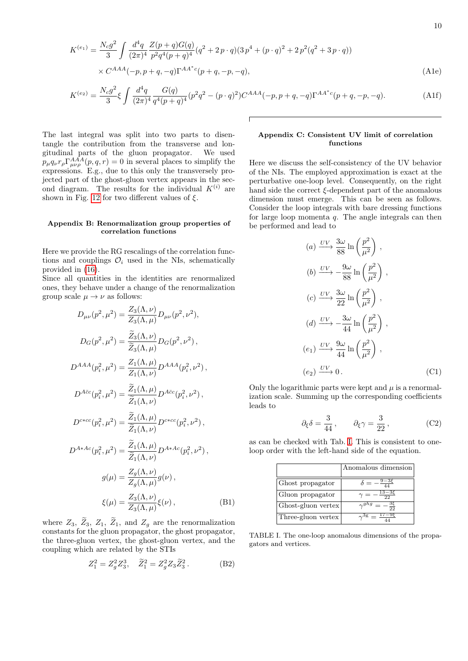$$
K^{(e_1)} = \frac{N_c g^2}{3} \int \frac{d^4 q}{(2\pi)^4} \frac{Z(p+q)G(q)}{p^2 q^4 (p+q)^4} (q^2 + 2p \cdot q) (3 p^4 + (p \cdot q)^2 + 2 p^2 (q^2 + 3p \cdot q))
$$
  
×  $C^{AAA}(-p, p+q, -q) \Gamma^{AA^*c}(p+q, -p, -q)$ , (A1e)

$$
K^{(e_2)} = \frac{N_c g^2}{3} \xi \int \frac{d^4 q}{(2\pi)^4} \frac{G(q)}{q^4 (p+q)^4} (p^2 q^2 - (p \cdot q)^2) C^{AAA}(-p, p+q, -q) \Gamma^{AA^*c}(p+q, -p, -q). \tag{A1f}
$$

The last integral was split into two parts to disentangle the contribution from the transverse and longitudinal parts of the gluon propagator. We used  $p_{\mu}q_{\nu}r_{\rho}\Gamma_{\mu\nu\rho}^{AAA}(p,q,r) = 0$  in several places to simplify the expressions. E.g., due to this only the transversely projected part of the ghost-gluon vertex appears in the second diagram. The results for the individual  $K^{(i)}$  are shown in Fig. [12](#page-10-1) for two different values of  $\xi$ .

### <span id="page-9-0"></span>Appendix B: Renormalization group properties of correlation functions

Here we provide the RG rescalings of the correlation functions and couplings  $\mathcal{O}_i$  used in the NIs, schematically provided in [\(16\)](#page-2-4).

Since all quantities in the identities are renormalized ones, they behave under a change of the renormalization group scale  $\mu \to \nu$  as follows:

$$
D_{\mu\nu}(p^{2}, \mu^{2}) = \frac{Z_{3}(\Lambda, \nu)}{Z_{3}(\Lambda, \mu)} D_{\mu\nu}(p^{2}, \nu^{2}),
$$
  
\n
$$
D_{G}(p^{2}, \mu^{2}) = \frac{\tilde{Z}_{3}(\Lambda, \nu)}{\tilde{Z}_{3}(\Lambda, \mu)} D_{G}(p^{2}, \nu^{2}),
$$
  
\n
$$
D^{AAA}(p_{i}^{2}, \mu^{2}) = \frac{Z_{1}(\Lambda, \mu)}{Z_{1}(\Lambda, \nu)} D^{AAA}(p_{i}^{2}, \nu^{2}),
$$
  
\n
$$
D^{A\bar{c}c}(p_{i}^{2}, \mu^{2}) = \frac{\tilde{Z}_{1}(\Lambda, \mu)}{\tilde{Z}_{1}(\Lambda, \nu)} D^{A\bar{c}c}(p_{i}^{2}, \nu^{2}),
$$
  
\n
$$
D^{c*cc}(p_{i}^{2}, \mu^{2}) = \frac{\tilde{Z}_{1}(\Lambda, \mu)}{\tilde{Z}_{1}(\Lambda, \nu)} D^{c*cc}(p_{i}^{2}, \nu^{2}),
$$
  
\n
$$
D^{A*AC}(p_{i}^{2}, \mu^{2}) = \frac{\tilde{Z}_{1}(\Lambda, \mu)}{\tilde{Z}_{1}(\Lambda, \nu)} D^{A*AC}(p_{i}^{2}, \nu^{2}),
$$
  
\n
$$
g(\mu) = \frac{Z_{g}(\Lambda, \nu)}{Z_{g}(\Lambda, \mu)} g(\nu),
$$
  
\n
$$
\xi(\mu) = \frac{Z_{3}(\Lambda, \nu)}{Z_{3}(\Lambda, \mu)} \xi(\nu),
$$
 (B1)

where  $Z_3$ ,  $Z_3$ ,  $Z_1$ ,  $Z_1$ , and  $Z_g$  are the renormalization constants for the gluon propagator, the ghost propagator, the three-gluon vertex, the ghost-gluon vertex, and the coupling which are related by the STIs

$$
Z_1^2 = Z_g^2 Z_3^3, \quad \tilde{Z}_1^2 = Z_g^2 Z_3 \tilde{Z}_3^2. \tag{B2}
$$

# <span id="page-9-2"></span>Appendix C: Consistent UV limit of correlation functions

Here we discuss the self-consistency of the UV behavior of the NIs. The employed approximation is exact at the perturbative one-loop level. Consequently, on the right hand side the correct  $\xi$ -dependent part of the anomalous dimension must emerge. This can be seen as follows. Consider the loop integrals with bare dressing functions for large loop momenta  $q$ . The angle integrals can then be performed and lead to

(a) 
$$
\frac{UV}{88}
$$
  $\frac{3\omega}{88}$  ln  $\left(\frac{p^2}{\mu^2}\right)$ ,  
\n(b)  $\frac{UV}{88}$   $\frac{9\omega}{88}$  ln  $\left(\frac{p^2}{\mu^2}\right)$ ,  
\n(c)  $\frac{UV}{22}$   $\frac{3\omega}{22}$  ln  $\left(\frac{p^2}{\mu^2}\right)$ ,  
\n(d)  $\frac{UV}{44} - \frac{3\omega}{44}$  ln  $\left(\frac{p^2}{\mu^2}\right)$ ,  
\n(e<sub>1</sub>)  $\frac{UV}{44}$   $\frac{9\omega}{44}$  ln  $\left(\frac{p^2}{\mu^2}\right)$ ,  
\n(e<sub>2</sub>)  $\frac{UV}{44}$  0. (C1)

Only the logarithmic parts were kept and  $\mu$  is a renormalization scale. Summing up the corresponding coefficients leads to

$$
\partial_{\xi} \delta = \frac{3}{44}, \qquad \partial_{\xi} \gamma = \frac{3}{22},
$$
 (C2)

as can be checked with Tab. [I.](#page-9-3) This is consistent to oneloop order with the left-hand side of the equation.

|                    | Anomalous dimension  |
|--------------------|----------------------|
| Ghost propagator   |                      |
| Gluon propagator   | າາ                   |
| Ghost-gluon vertex | $\gamma^{ghg}$<br>35 |
| Three-gluon vertex | $\sim$ <sup>3g</sup> |

<span id="page-9-3"></span><span id="page-9-1"></span>TABLE I. The one-loop anomalous dimensions of the propagators and vertices.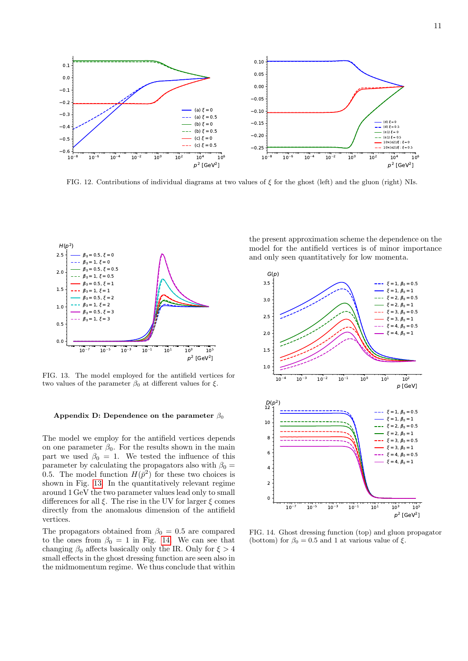

<span id="page-10-1"></span>FIG. 12. Contributions of individual diagrams at two values of  $\xi$  for the ghost (left) and the gluon (right) NIs.



<span id="page-10-2"></span>FIG. 13. The model employed for the antifield vertices for two values of the parameter  $\beta_0$  at different values for  $\xi$ .

### <span id="page-10-0"></span>Appendix D: Dependence on the parameter  $\beta_0$

The model we employ for the antifield vertices depends on one parameter  $\beta_0$ . For the results shown in the main part we used  $\beta_0 = 1$ . We tested the influence of this parameter by calculating the propagators also with  $\beta_0 =$ 0.5. The model function  $H(\bar{p}^2)$  for these two choices is shown in Fig. [13.](#page-10-2) In the quantitatively relevant regime around 1 GeV the two parameter values lead only to small differences for all  $\xi$ . The rise in the UV for larger  $\xi$  comes directly from the anomalous dimension of the antifield vertices.

The propagators obtained from  $\beta_0 = 0.5$  are compared to the ones from  $\beta_0 = 1$  in Fig. [14.](#page-10-3) We can see that changing  $\beta_0$  affects basically only the IR. Only for  $\xi > 4$ small effects in the ghost dressing function are seen also in the midmomentum regime. We thus conclude that within

the present approximation scheme the dependence on the model for the antifield vertices is of minor importance and only seen quantitatively for low momenta.



<span id="page-10-3"></span>FIG. 14. Ghost dressing function (top) and gluon propagator (bottom) for  $\beta_0 = 0.5$  and 1 at various value of  $\xi$ .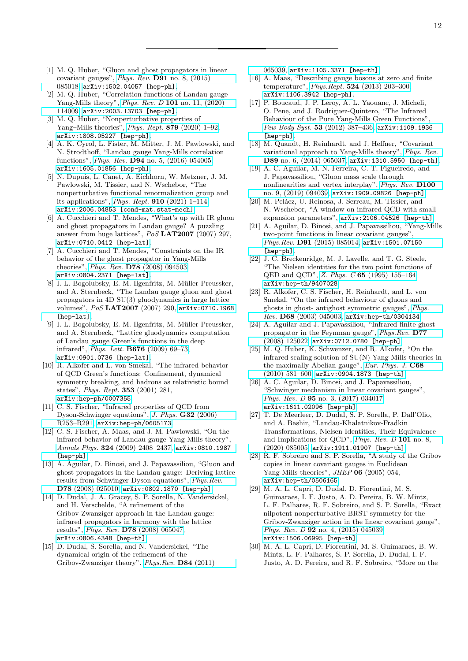- <span id="page-11-0"></span>[1] M. Q. Huber, "Gluon and ghost propagators in linear covariant gauges", Phys. Rev. D91 [no. 8, \(2015\)](http://dx.doi.org/10.1103/PhysRevD.91.085018) [085018,](http://dx.doi.org/10.1103/PhysRevD.91.085018) [arXiv:1502.04057 \[hep-ph\]](http://arxiv.org/abs/1502.04057).
- <span id="page-11-1"></span>[2] M. Q. Huber, "Correlation functions of Landau gauge Yang-Mills theory", Phys. Rev. D 101 [no. 11, \(2020\)](http://dx.doi.org/10.1103/PhysRevD.101.114009) [114009,](http://dx.doi.org/10.1103/PhysRevD.101.114009) [arXiv:2003.13703 \[hep-ph\]](http://arxiv.org/abs/2003.13703).
- <span id="page-11-2"></span>[3] M. Q. Huber, "Nonperturbative properties of Yang–Mills theories", *Phys. Rept.* **879** [\(2020\) 1–92,](http://dx.doi.org/10.1016/j.physrep.2020.04.004) [arXiv:1808.05227 \[hep-ph\]](http://arxiv.org/abs/1808.05227).
- <span id="page-11-3"></span>[4] A. K. Cyrol, L. Fister, M. Mitter, J. M. Pawlowski, and N. Strodthoff, "Landau gauge Yang-Mills correlation functions", Phys. Rev. D94 [no. 5, \(2016\) 054005,](http://dx.doi.org/10.1103/PhysRevD.94.054005) [arXiv:1605.01856 \[hep-ph\]](http://arxiv.org/abs/1605.01856).
- <span id="page-11-4"></span>[5] N. Dupuis, L. Canet, A. Eichhorn, W. Metzner, J. M. Pawlowski, M. Tissier, and N. Wschebor, "The nonperturbative functional renormalization group and its applications", Phys. Rept. 910 [\(2021\) 1–114,](http://dx.doi.org/10.1016/j.physrep.2021.01.001) [arXiv:2006.04853 \[cond-mat.stat-mech\]](http://arxiv.org/abs/2006.04853).
- <span id="page-11-5"></span>[6] A. Cucchieri and T. Mendes, "What's up with IR gluon and ghost propagators in Landau gauge? A puzzling answer from huge lattices", PoS LAT2007 (2007) 297, [arXiv:0710.0412 \[hep-lat\]](http://arxiv.org/abs/0710.0412).
- [7] A. Cucchieri and T. Mendes, "Constraints on the IR behavior of the ghost propagator in Yang-Mills theories", Phys. Rev. D78 [\(2008\) 094503,](http://dx.doi.org/10.1103/PhysRevD.78.094503) [arXiv:0804.2371 \[hep-lat\]](http://arxiv.org/abs/0804.2371).
- [8] I. L. Bogolubsky, E. M. Ilgenfritz, M. Müller-Preussker, and A. Sternbeck, "The Landau gauge gluon and ghost propagators in 4D SU(3) gluodynamics in large lattice volumes", PoS LAT2007 (2007) 290, [arXiv:0710.1968](http://arxiv.org/abs/0710.1968) [\[hep-lat\]](http://arxiv.org/abs/0710.1968).
- <span id="page-11-6"></span>[9] I. L. Bogolubsky, E. M. Ilgenfritz, M. Müller-Preussker, and A. Sternbeck, "Lattice gluodynamics computation of Landau gauge Green's functions in the deep infrared", Phys. Lett. B676 [\(2009\) 69–73,](http://dx.doi.org/10.1016/j.physletb.2009.04.076) [arXiv:0901.0736 \[hep-lat\]](http://arxiv.org/abs/0901.0736).
- <span id="page-11-7"></span>[10] R. Alkofer and L. von Smekal, "The infrared behavior of QCD Green's functions: Confinement, dynamical symmetry breaking, and hadrons as relativistic bound states", Phys. Rept. 353 (2001) 281, [arXiv:hep-ph/0007355](http://arxiv.org/abs/hep-ph/0007355).
- [11] C. S. Fischer, "Infrared properties of QCD from Dyson-Schwinger equations", [J. Phys.](http://dx.doi.org/10.1088/0954-3899/32/8/R02) G32 (2006) [R253–R291,](http://dx.doi.org/10.1088/0954-3899/32/8/R02) [arXiv:hep-ph/0605173](http://arxiv.org/abs/hep-ph/0605173).
- <span id="page-11-14"></span>[12] C. S. Fischer, A. Maas, and J. M. Pawlowski, "On the infrared behavior of Landau gauge Yang-Mills theory", Annals Phys. 324 [\(2009\) 2408–2437,](http://dx.doi.org/10.1016/j.aop.2009.07.009) [arXiv:0810.1987](http://arxiv.org/abs/0810.1987) [\[hep-ph\]](http://arxiv.org/abs/0810.1987).
- [13] A. Aguilar, D. Binosi, and J. Papavassiliou, "Gluon and ghost propagators in the Landau gauge: Deriving lattice results from Schwinger-Dyson equations", [Phys.Rev.](http://dx.doi.org/10.1103/PhysRevD.78.025010) D78 [\(2008\) 025010,](http://dx.doi.org/10.1103/PhysRevD.78.025010) [arXiv:0802.1870 \[hep-ph\]](http://arxiv.org/abs/0802.1870).
- [14] D. Dudal, J. A. Gracey, S. P. Sorella, N. Vandersickel, and H. Verschelde, "A refinement of the Gribov-Zwanziger approach in the Landau gauge: infrared propagators in harmony with the lattice results", Phys. Rev. D78 [\(2008\) 065047,](http://dx.doi.org/10.1103/PhysRevD.78.065047) [arXiv:0806.4348 \[hep-th\]](http://arxiv.org/abs/0806.4348).
- [15] D. Dudal, S. Sorella, and N. Vandersickel, "The dynamical origin of the refinement of the Gribov-Zwanziger theory", [Phys.Rev.](http://dx.doi.org/10.1103/PhysRevD.84.065039) D84 (2011)

[065039,](http://dx.doi.org/10.1103/PhysRevD.84.065039) [arXiv:1105.3371 \[hep-th\]](http://arxiv.org/abs/1105.3371).

- <span id="page-11-15"></span>[16] A. Maas, "Describing gauge bosons at zero and finite temperature", Phys.Rept. 524 [\(2013\) 203–300,](http://dx.doi.org/10.1016/j.physrep.2012.11.002) [arXiv:1106.3942 \[hep-ph\]](http://arxiv.org/abs/1106.3942).
- [17] P. Boucaud, J. P. Leroy, A. L. Yaouanc, J. Micheli, O. Pene, and J. Rodriguez-Quintero, "The Infrared Behaviour of the Pure Yang-Mills Green Functions", Few Body Syst. 53 [\(2012\) 387–436,](http://dx.doi.org/10.1007/s00601-011-0301-2) [arXiv:1109.1936](http://arxiv.org/abs/1109.1936) [\[hep-ph\]](http://arxiv.org/abs/1109.1936).
- [18] M. Quandt, H. Reinhardt, and J. Heffner, "Covariant variational approach to Yang-Mills theory", [Phys. Rev.](http://dx.doi.org/10.1103/PhysRevD.89.065037) D89 [no. 6, \(2014\) 065037,](http://dx.doi.org/10.1103/PhysRevD.89.065037) [arXiv:1310.5950 \[hep-th\]](http://arxiv.org/abs/1310.5950).
- [19] A. C. Aguilar, M. N. Ferreira, C. T. Figueiredo, and J. Papavassiliou, "Gluon mass scale through nonlinearities and vertex interplay", [Phys. Rev.](http://dx.doi.org/10.1103/PhysRevD.100.094039) D100 [no. 9, \(2019\) 094039,](http://dx.doi.org/10.1103/PhysRevD.100.094039) [arXiv:1909.09826 \[hep-ph\]](http://arxiv.org/abs/1909.09826).
- <span id="page-11-8"></span>[20] M. Peláez, U. Reinosa, J. Serreau, M. Tissier, and N. Wschebor, "A window on infrared QCD with small expansion parameters", [arXiv:2106.04526 \[hep-th\]](http://arxiv.org/abs/2106.04526).
- <span id="page-11-9"></span>[21] A. Aguilar, D. Binosi, and J. Papavassiliou, "Yang-Mills two-point functions in linear covariant gauges", Phys.Rev. D91 [\(2015\) 085014,](http://dx.doi.org/10.1103/PhysRevD.91.085014) [arXiv:1501.07150](http://arxiv.org/abs/1501.07150) [\[hep-ph\]](http://arxiv.org/abs/1501.07150).
- <span id="page-11-12"></span>[22] J. C. Breckenridge, M. J. Lavelle, and T. G. Steele, "The Nielsen identities for the two point functions of QED and QCD", Z. Phys. C 65 [\(1995\) 155–164,](http://dx.doi.org/10.1007/BF01571316) [arXiv:hep-th/9407028](http://arxiv.org/abs/hep-th/9407028).
- [23] R. Alkofer, C. S. Fischer, H. Reinhardt, and L. von Smekal, "On the infrared behaviour of gluons and ghosts in ghost- antighost symmetric gauges", [Phys.](http://dx.doi.org/10.1103/PhysRevD.68.045003) Rev. D68 [\(2003\) 045003,](http://dx.doi.org/10.1103/PhysRevD.68.045003) [arXiv:hep-th/0304134](http://arxiv.org/abs/hep-th/0304134).
- [24] A. Aguilar and J. Papavassiliou, "Infrared finite ghost propagator in the Feynman gauge", [Phys.Rev.](http://dx.doi.org/10.1103/PhysRevD.77.125022) D77 [\(2008\) 125022,](http://dx.doi.org/10.1103/PhysRevD.77.125022) [arXiv:0712.0780 \[hep-ph\]](http://arxiv.org/abs/0712.0780).
- <span id="page-11-13"></span>[25] M. Q. Huber, K. Schwenzer, and R. Alkofer, "On the infrared scaling solution of SU(N) Yang-Mills theories in the maximally Abelian gauge", [Eur. Phys. J.](http://dx.doi.org/10.1140/epjc/s10052-010-1371-x) C68 [\(2010\) 581–600,](http://dx.doi.org/10.1140/epjc/s10052-010-1371-x) [arXiv:0904.1873 \[hep-th\]](http://arxiv.org/abs/0904.1873).
- [26] A. C. Aguilar, D. Binosi, and J. Papavassiliou, "Schwinger mechanism in linear covariant gauges", Phys. Rev. D 95 [no. 3, \(2017\) 034017,](http://dx.doi.org/10.1103/PhysRevD.95.034017) [arXiv:1611.02096 \[hep-ph\]](http://arxiv.org/abs/1611.02096).
- <span id="page-11-10"></span>[27] T. De Meerleer, D. Dudal, S. P. Sorella, P. Dall'Olio, and A. Bashir, "Landau-Khalatnikov-Fradkin Transformations, Nielsen Identities, Their Equivalence and Implications for QCD", [Phys. Rev. D](http://dx.doi.org/10.1103/PhysRevD.101.085005) 101 no. 8, [\(2020\) 085005,](http://dx.doi.org/10.1103/PhysRevD.101.085005) [arXiv:1911.01907 \[hep-th\]](http://arxiv.org/abs/1911.01907).
- <span id="page-11-11"></span>[28] R. F. Sobreiro and S. P. Sorella, "A study of the Gribov copies in linear covariant gauges in Euclidean Yang-Mills theories", *JHEP* **06** (2005) 054, [arXiv:hep-th/0506165](http://arxiv.org/abs/hep-th/0506165).
- [29] M. A. L. Capri, D. Dudal, D. Fiorentini, M. S. Guimaraes, I. F. Justo, A. D. Pereira, B. W. Mintz, L. F. Palhares, R. F. Sobreiro, and S. P. Sorella, "Exact nilpotent nonperturbative BRST symmetry for the Gribov-Zwanziger action in the linear covariant gauge", Phys. Rev. D **92** [no. 4, \(2015\) 045039,](http://dx.doi.org/10.1103/PhysRevD.92.045039) [arXiv:1506.06995 \[hep-th\]](http://arxiv.org/abs/1506.06995).
- [30] M. A. L. Capri, D. Fiorentini, M. S. Guimaraes, B. W. Mintz, L. F. Palhares, S. P. Sorella, D. Dudal, I. F. Justo, A. D. Pereira, and R. F. Sobreiro, "More on the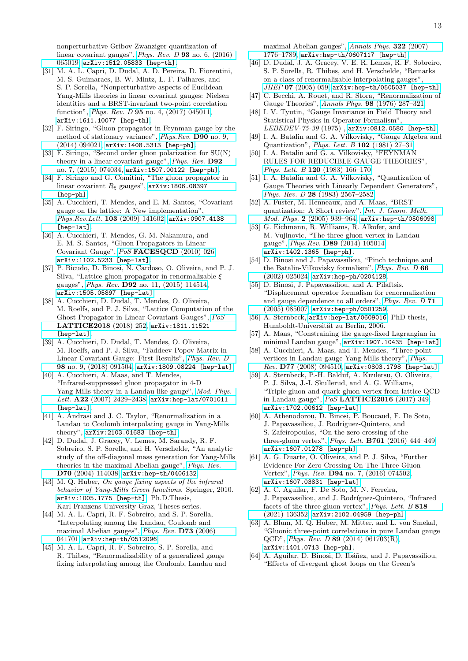nonperturbative Gribov-Zwanziger quantization of linear covariant gauges", [Phys. Rev. D](http://dx.doi.org/10.1103/PhysRevD.93.065019) 93 no. 6, (2016) [065019,](http://dx.doi.org/10.1103/PhysRevD.93.065019) [arXiv:1512.05833 \[hep-th\]](http://arxiv.org/abs/1512.05833).

- <span id="page-12-0"></span>[31] M. A. L. Capri, D. Dudal, A. D. Pereira, D. Fiorentini, M. S. Guimaraes, B. W. Mintz, L. F. Palhares, and S. P. Sorella, "Nonperturbative aspects of Euclidean Yang-Mills theories in linear covariant gauges: Nielsen identities and a BRST-invariant two-point correlation function", Phys. Rev. D 95 [no. 4, \(2017\) 045011,](http://dx.doi.org/10.1103/PhysRevD.95.045011) [arXiv:1611.10077 \[hep-th\]](http://arxiv.org/abs/1611.10077).
- <span id="page-12-1"></span>[32] F. Siringo, "Gluon propagator in Feynman gauge by the method of stationary variance", [Phys.Rev.](http://dx.doi.org/10.1103/PhysRevD.90.094021) D90 no. 9, [\(2014\) 094021,](http://dx.doi.org/10.1103/PhysRevD.90.094021) [arXiv:1408.5313 \[hep-ph\]](http://arxiv.org/abs/1408.5313).
- [33] F. Siringo, "Second order gluon polarization for SU(N) theory in a linear covariant gauge", [Phys. Rev.](http://dx.doi.org/10.1103/PhysRevD.92.074034) D92 [no. 7, \(2015\) 074034,](http://dx.doi.org/10.1103/PhysRevD.92.074034) [arXiv:1507.00122 \[hep-ph\]](http://arxiv.org/abs/1507.00122).
- <span id="page-12-2"></span>[34] F. Siringo and G. Comitini, "The gluon propagator in linear covariant  $R_{\xi}$  gauges", [arXiv:1806.08397](http://arxiv.org/abs/1806.08397) [\[hep-ph\]](http://arxiv.org/abs/1806.08397).
- <span id="page-12-3"></span>[35] A. Cucchieri, T. Mendes, and E. M. Santos, "Covariant gauge on the lattice: A New implementation", [Phys.Rev.Lett.](http://dx.doi.org/10.1103/PhysRevLett.103.141602) 103 (2009) 141602, [arXiv:0907.4138](http://arxiv.org/abs/0907.4138) [\[hep-lat\]](http://arxiv.org/abs/0907.4138).
- [36] A. Cucchieri, T. Mendes, G. M. Nakamura, and E. M. S. Santos, "Gluon Propagators in Linear Covariant Gauge", PoS [FACESQCD](http://dx.doi.org/10.22323/1.117.0026) (2010) 026, [arXiv:1102.5233 \[hep-lat\]](http://arxiv.org/abs/1102.5233).
- <span id="page-12-26"></span>[37] P. Bicudo, D. Binosi, N. Cardoso, O. Oliveira, and P. J. Silva, "Lattice gluon propagator in renormalizable  $\xi$ gauges", Phys. Rev. D92 [no. 11, \(2015\) 114514,](http://dx.doi.org/10.1103/PhysRevD.92.114514) [arXiv:1505.05897 \[hep-lat\]](http://arxiv.org/abs/1505.05897).
- <span id="page-12-27"></span>[38] A. Cucchieri, D. Dudal, T. Mendes, O. Oliveira, M. Roelfs, and P. J. Silva, "Lattice Computation of the Ghost Propagator in Linear Covariant Gauges", [PoS](http://dx.doi.org/10.22323/1.334.0252) [LATTICE2018](http://dx.doi.org/10.22323/1.334.0252) (2018) 252, [arXiv:1811.11521](http://arxiv.org/abs/1811.11521) [\[hep-lat\]](http://arxiv.org/abs/1811.11521).
- <span id="page-12-4"></span>[39] A. Cucchieri, D. Dudal, T. Mendes, O. Oliveira, M. Roelfs, and P. J. Silva, "Faddeev-Popov Matrix in Linear Covariant Gauge: First Results", [Phys. Rev. D](http://dx.doi.org/10.1103/PhysRevD.98.091504) 98 [no. 9, \(2018\) 091504,](http://dx.doi.org/10.1103/PhysRevD.98.091504) [arXiv:1809.08224 \[hep-lat\]](http://arxiv.org/abs/1809.08224).
- <span id="page-12-5"></span>[40] A. Cucchieri, A. Maas, and T. Mendes, "Infrared-suppressed gluon propagator in 4-D Yang-Mills theory in a Landau-like gauge", [Mod. Phys.](http://dx.doi.org/10.1142/S0217732307024450) Lett. A22 [\(2007\) 2429–2438,](http://dx.doi.org/10.1142/S0217732307024450) [arXiv:hep-lat/0701011](http://arxiv.org/abs/hep-lat/0701011) [\[hep-lat\]](http://arxiv.org/abs/hep-lat/0701011).
- <span id="page-12-6"></span>[41] A. Andrasi and J. C. Taylor, "Renormalization in a Landau to Coulomb interpolating gauge in Yang-Mills theory", [arXiv:2103.01683 \[hep-th\]](http://arxiv.org/abs/2103.01683).
- <span id="page-12-7"></span>[42] D. Dudal, J. Gracey, V. Lemes, M. Sarandy, R. F. Sobreiro, S. P. Sorella, and H. Verschelde, "An analytic study of the off-diagonal mass generation for Yang-Mills theories in the maximal Abelian gauge", [Phys. Rev.](http://dx.doi.org/10.1103/PhysRevD.70.114038) D70 [\(2004\) 114038,](http://dx.doi.org/10.1103/PhysRevD.70.114038) [arXiv:hep-th/0406132](http://arxiv.org/abs/hep-th/0406132).
- <span id="page-12-8"></span>[43] M. Q. Huber, On gauge fixing aspects of the infrared behavior of Yang-Mills Green functions. Springer, 2010. [arXiv:1005.1775 \[hep-th\]](http://arxiv.org/abs/1005.1775). Ph.D.Thesis, Karl-Franzens-University Graz, Theses series.
- <span id="page-12-9"></span>[44] M. A. L. Capri, R. F. Sobreiro, and S. P. Sorella, "Interpolating among the Landau, Coulomb and maximal Abelian gauges", [Phys. Rev.](http://dx.doi.org/10.1103/PhysRevD.73.041701) D73 (2006) [041701,](http://dx.doi.org/10.1103/PhysRevD.73.041701) [arXiv:hep-th/0512096](http://arxiv.org/abs/hep-th/0512096).
- <span id="page-12-10"></span>[45] M. A. L. Capri, R. F. Sobreiro, S. P. Sorella, and R. Thibes, "Renormalizability of a generalized gauge fixing interpolating among the Coulomb, Landau and

maximal Abelian gauges", [Annals Phys.](http://dx.doi.org/10.1016/j.aop.2006.09.001) 322 (2007) [1776–1789,](http://dx.doi.org/10.1016/j.aop.2006.09.001) [arXiv:hep-th/0607117 \[hep-th\]](http://arxiv.org/abs/hep-th/0607117).

- <span id="page-12-11"></span>[46] D. Dudal, J. A. Gracey, V. E. R. Lemes, R. F. Sobreiro, S. P. Sorella, R. Thibes, and H. Verschelde, "Remarks on a class of renormalizable interpolating gauges", JHEP 07 [\(2005\) 059,](http://dx.doi.org/10.1088/1126-6708/2005/07/059) [arXiv:hep-th/0505037 \[hep-th\]](http://arxiv.org/abs/hep-th/0505037).
- <span id="page-12-12"></span>[47] C. Becchi, A. Rouet, and R. Stora, "Renormalization of Gauge Theories", Annals Phys. 98 [\(1976\) 287–321.](http://dx.doi.org/10.1016/0003-4916(76)90156-1)
- <span id="page-12-13"></span>[48] I. V. Tyutin, "Gauge Invariance in Field Theory and Statistical Physics in Operator Formalism", LEBEDEV-75-39 (1975) , [arXiv:0812.0580 \[hep-th\]](http://arxiv.org/abs/0812.0580).
- <span id="page-12-14"></span>[49] I. A. Batalin and G. A. Vilkovisky, "Gauge Algebra and Quantization", [Phys. Lett. B](http://dx.doi.org/10.1016/0370-2693(81)90205-7) 102 (1981) 27–31.
- [50] I. A. Batalin and G. a. Vilkovisky, "FEYNMAN RULES FOR REDUCIBLE GAUGE THEORIES", Phys. Lett. B 120 [\(1983\) 166–170.](http://dx.doi.org/10.1016/0370-2693(83)90645-7)
- [51] I. A. Batalin and G. A. Vilkovisky, "Quantization of Gauge Theories with Linearly Dependent Generators", Phys. Rev. D 28 [\(1983\) 2567–2582.](http://dx.doi.org/10.1103/PhysRevD.28.2567)
- <span id="page-12-15"></span>[52] A. Fuster, M. Henneaux, and A. Maas, "BRST quantization: A Short review", [Int. J. Geom. Meth.](http://dx.doi.org/10.1142/S0219887805000892) Mod. Phys. 2 [\(2005\) 939–964,](http://dx.doi.org/10.1142/S0219887805000892) [arXiv:hep-th/0506098](http://arxiv.org/abs/hep-th/0506098).
- <span id="page-12-16"></span>[53] G. Eichmann, R. Williams, R. Alkofer, and M. Vujinovic, "The three-gluon vertex in Landau gauge", Phys.Rev. D89 [\(2014\) 105014,](http://dx.doi.org/10.1103/PhysRevD.89.105014) [arXiv:1402.1365 \[hep-ph\]](http://arxiv.org/abs/1402.1365).
- <span id="page-12-17"></span>[54] D. Binosi and J. Papavassiliou, "Pinch technique and the Batalin-Vilkovisky formalism", [Phys. Rev. D](http://dx.doi.org/10.1103/PhysRevD.66.025024) 66 [\(2002\) 025024,](http://dx.doi.org/10.1103/PhysRevD.66.025024) [arXiv:hep-ph/0204128](http://arxiv.org/abs/hep-ph/0204128).
- <span id="page-12-18"></span>[55] D. Binosi, J. Papavassiliou, and A. Pilaftsis, "Displacement operator formalism for renormalization and gauge dependence to all orders", [Phys. Rev. D](http://dx.doi.org/10.1103/PhysRevD.71.085007) 71 [\(2005\) 085007,](http://dx.doi.org/10.1103/PhysRevD.71.085007) [arXiv:hep-ph/0501259](http://arxiv.org/abs/hep-ph/0501259).
- <span id="page-12-21"></span>[56] A. Sternbeck,  $arXiv:hep-lat/0609016$ , PhD thesis, Humboldt-Universität zu Berlin, 2006.
- <span id="page-12-22"></span>[57] A. Maas, "Constraining the gauge-fixed Lagrangian in minimal Landau gauge", [arXiv:1907.10435 \[hep-lat\]](http://arxiv.org/abs/1907.10435).
- [58] A. Cucchieri, A. Maas, and T. Mendes, "Three-point vertices in Landau-gauge Yang-Mills theory", [Phys.](http://dx.doi.org/10.1103/PhysRevD.77.094510) Rev. D77 [\(2008\) 094510,](http://dx.doi.org/10.1103/PhysRevD.77.094510) [arXiv:0803.1798 \[hep-lat\]](http://arxiv.org/abs/0803.1798).
- <span id="page-12-23"></span>[59] A. Sternbeck, P.-H. Balduf, A. Kızılersu, O. Oliveira, P. J. Silva, J.-I. Skullerud, and A. G. Williams, "Triple-gluon and quark-gluon vertex from lattice QCD in Landau gauge", PoS [LATTICE2016](http://dx.doi.org/10.22323/1.256.0349) (2017) 349, [arXiv:1702.00612 \[hep-lat\]](http://arxiv.org/abs/1702.00612).
- <span id="page-12-24"></span>[60] A. Athenodorou, D. Binosi, P. Boucaud, F. De Soto, J. Papavassiliou, J. Rodriguez-Quintero, and S. Zafeiropoulos, "On the zero crossing of the three-gluon vertex", *Phys. Lett.* **B761** (2016) 444-449, [arXiv:1607.01278 \[hep-ph\]](http://arxiv.org/abs/1607.01278).
- [61] A. G. Duarte, O. Oliveira, and P. J. Silva, "Further Evidence For Zero Crossing On The Three Gluon Vertex", Phys. Rev. D94 [no. 7, \(2016\) 074502,](http://dx.doi.org/10.1103/PhysRevD.94.074502) [arXiv:1607.03831 \[hep-lat\]](http://arxiv.org/abs/1607.03831).
- <span id="page-12-25"></span>[62] A. C. Aguilar, F. De Soto, M. N. Ferreira, J. Papavassiliou, and J. Rodríguez-Quintero, "Infrared facets of the three-gluon vertex", [Phys. Lett. B](http://dx.doi.org/10.1016/j.physletb.2021.136352) 818 [\(2021\) 136352,](http://dx.doi.org/10.1016/j.physletb.2021.136352) [arXiv:2102.04959 \[hep-ph\]](http://arxiv.org/abs/2102.04959).
- <span id="page-12-19"></span>[63] A. Blum, M. Q. Huber, M. Mitter, and L. von Smekal, "Gluonic three-point correlations in pure Landau gauge QCD", Phys. Rev. D 89 [\(2014\) 061703\(R\),](http://dx.doi.org/10.1103/PhysRevD.89.061703) [arXiv:1401.0713 \[hep-ph\]](http://arxiv.org/abs/1401.0713).
- <span id="page-12-20"></span>[64] A. Aguilar, D. Binosi, D. Ibáñez, and J. Papavassiliou, "Effects of divergent ghost loops on the Green's